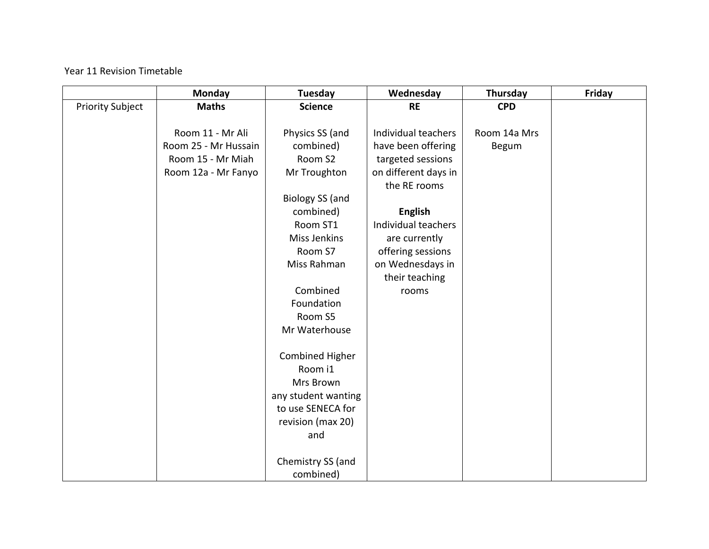## Year 11 Revision Timetable

|                         | Monday               | <b>Tuesday</b>         | Wednesday            | Thursday     | Friday |
|-------------------------|----------------------|------------------------|----------------------|--------------|--------|
| <b>Priority Subject</b> | <b>Maths</b>         | <b>Science</b>         | <b>RE</b>            | <b>CPD</b>   |        |
|                         |                      |                        |                      |              |        |
|                         | Room 11 - Mr Ali     | Physics SS (and        | Individual teachers  | Room 14a Mrs |        |
|                         | Room 25 - Mr Hussain | combined)              | have been offering   | Begum        |        |
|                         | Room 15 - Mr Miah    | Room S2                | targeted sessions    |              |        |
|                         | Room 12a - Mr Fanyo  | Mr Troughton           | on different days in |              |        |
|                         |                      |                        | the RE rooms         |              |        |
|                         |                      | <b>Biology SS (and</b> |                      |              |        |
|                         |                      | combined)              | <b>English</b>       |              |        |
|                         |                      | Room ST1               | Individual teachers  |              |        |
|                         |                      | Miss Jenkins           | are currently        |              |        |
|                         |                      | Room S7                | offering sessions    |              |        |
|                         |                      | Miss Rahman            | on Wednesdays in     |              |        |
|                         |                      |                        | their teaching       |              |        |
|                         |                      | Combined               | rooms                |              |        |
|                         |                      | Foundation             |                      |              |        |
|                         |                      | Room S5                |                      |              |        |
|                         |                      | Mr Waterhouse          |                      |              |        |
|                         |                      |                        |                      |              |        |
|                         |                      | <b>Combined Higher</b> |                      |              |        |
|                         |                      | Room i1                |                      |              |        |
|                         |                      | Mrs Brown              |                      |              |        |
|                         |                      | any student wanting    |                      |              |        |
|                         |                      | to use SENECA for      |                      |              |        |
|                         |                      | revision (max 20)      |                      |              |        |
|                         |                      | and                    |                      |              |        |
|                         |                      |                        |                      |              |        |
|                         |                      | Chemistry SS (and      |                      |              |        |
|                         |                      | combined)              |                      |              |        |